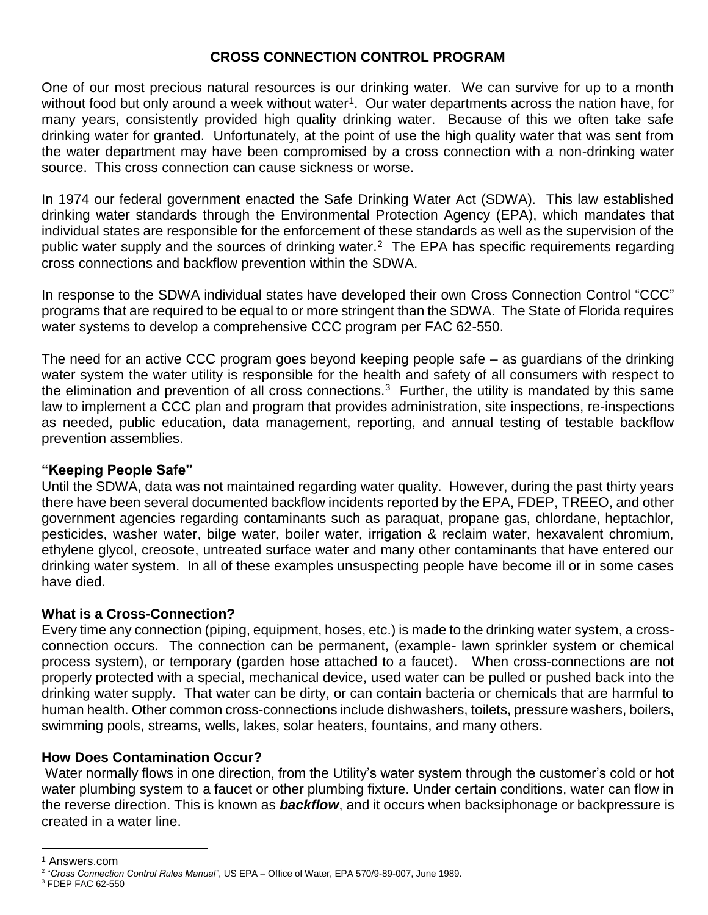## **CROSS CONNECTION CONTROL PROGRAM**

One of our most precious natural resources is our drinking water. We can survive for up to a month without food but only around a week without water<sup>1</sup>. Our water departments across the nation have, for many years, consistently provided high quality drinking water. Because of this we often take safe drinking water for granted. Unfortunately, at the point of use the high quality water that was sent from the water department may have been compromised by a cross connection with a non-drinking water source. This cross connection can cause sickness or worse.

In 1974 our federal government enacted the Safe Drinking Water Act (SDWA). This law established drinking water standards through the Environmental Protection Agency (EPA), which mandates that individual states are responsible for the enforcement of these standards as well as the supervision of the public water supply and the sources of drinking water.<sup>2</sup> The EPA has specific requirements regarding cross connections and backflow prevention within the SDWA.

In response to the SDWA individual states have developed their own Cross Connection Control "CCC" programs that are required to be equal to or more stringent than the SDWA. The State of Florida requires water systems to develop a comprehensive CCC program per FAC 62-550.

The need for an active CCC program goes beyond keeping people safe – as guardians of the drinking water system the water utility is responsible for the health and safety of all consumers with respect to the elimination and prevention of all cross connections.<sup>3</sup> Further, the utility is mandated by this same law to implement a CCC plan and program that provides administration, site inspections, re-inspections as needed, public education, data management, reporting, and annual testing of testable backflow prevention assemblies.

#### **"Keeping People Safe"**

Until the SDWA, data was not maintained regarding water quality. However, during the past thirty years there have been several documented backflow incidents reported by the EPA, FDEP, TREEO, and other government agencies regarding contaminants such as paraquat, propane gas, chlordane, heptachlor, pesticides, washer water, bilge water, boiler water, irrigation & reclaim water, hexavalent chromium, ethylene glycol, creosote, untreated surface water and many other contaminants that have entered our drinking water system. In all of these examples unsuspecting people have become ill or in some cases have died.

#### **What is a Cross-Connection?**

Every time any connection (piping, equipment, hoses, etc.) is made to the drinking water system, a crossconnection occurs. The connection can be permanent, (example- lawn sprinkler system or chemical process system), or temporary (garden hose attached to a faucet). When cross-connections are not properly protected with a special, mechanical device, used water can be pulled or pushed back into the drinking water supply. That water can be dirty, or can contain bacteria or chemicals that are harmful to human health. Other common cross-connections include dishwashers, toilets, pressure washers, boilers, swimming pools, streams, wells, lakes, solar heaters, fountains, and many others.

# **How Does Contamination Occur?**

Water normally flows in one direction, from the Utility's water system through the customer's cold or hot water plumbing system to a faucet or other plumbing fixture. Under certain conditions, water can flow in the reverse direction. This is known as *backflow*, and it occurs when backsiphonage or backpressure is created in a water line.

 $\overline{a}$ 

<sup>3</sup> FDEP FAC 62-550

<sup>1</sup> Answers.com

<sup>2</sup> "*Cross Connection Control Rules Manual"*, US EPA – Office of Water, EPA 570/9-89-007, June 1989.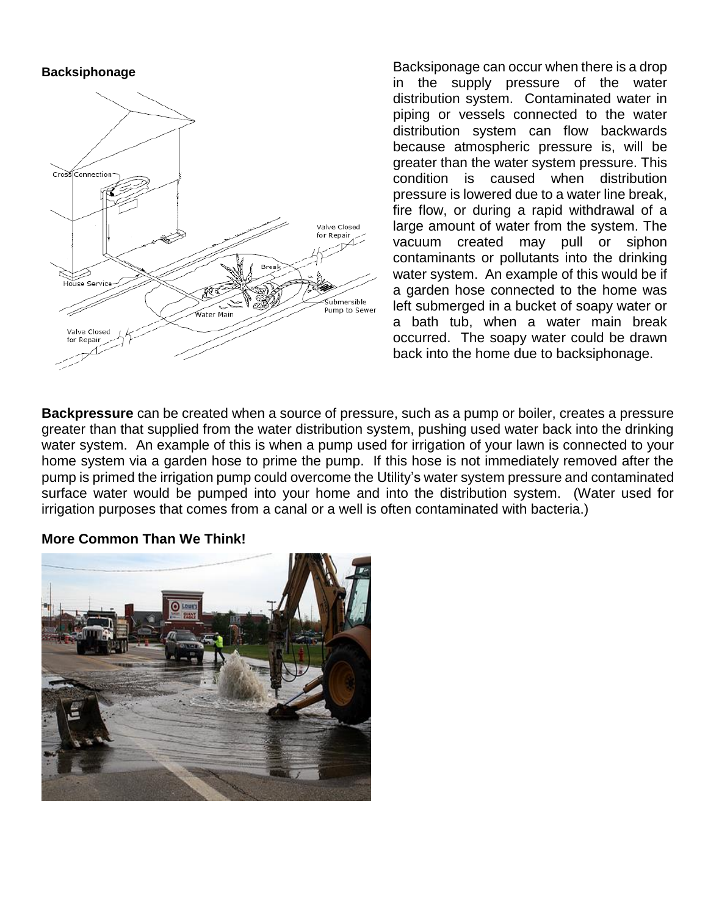#### **Backsiphonage**



Backsiponage can occur when there is a drop in the supply pressure of the water distribution system. Contaminated water in piping or vessels connected to the water distribution system can flow backwards because atmospheric pressure is, will be greater than the water system pressure. This condition is caused when distribution pressure is lowered due to a water line break, fire flow, or during a rapid withdrawal of a large amount of water from the system. The vacuum created may pull or siphon contaminants or pollutants into the drinking water system. An example of this would be if a garden hose connected to the home was left submerged in a bucket of soapy water or a bath tub, when a water main break occurred. The soapy water could be drawn back into the home due to backsiphonage.

**Backpressure** can be created when a source of pressure, such as a pump or boiler, creates a pressure greater than that supplied from the water distribution system, pushing used water back into the drinking water system. An example of this is when a pump used for irrigation of your lawn is connected to your home system via a garden hose to prime the pump. If this hose is not immediately removed after the pump is primed the irrigation pump could overcome the Utility's water system pressure and contaminated surface water would be pumped into your home and into the distribution system. (Water used for irrigation purposes that comes from a canal or a well is often contaminated with bacteria.)

# **More Common Than We Think!**

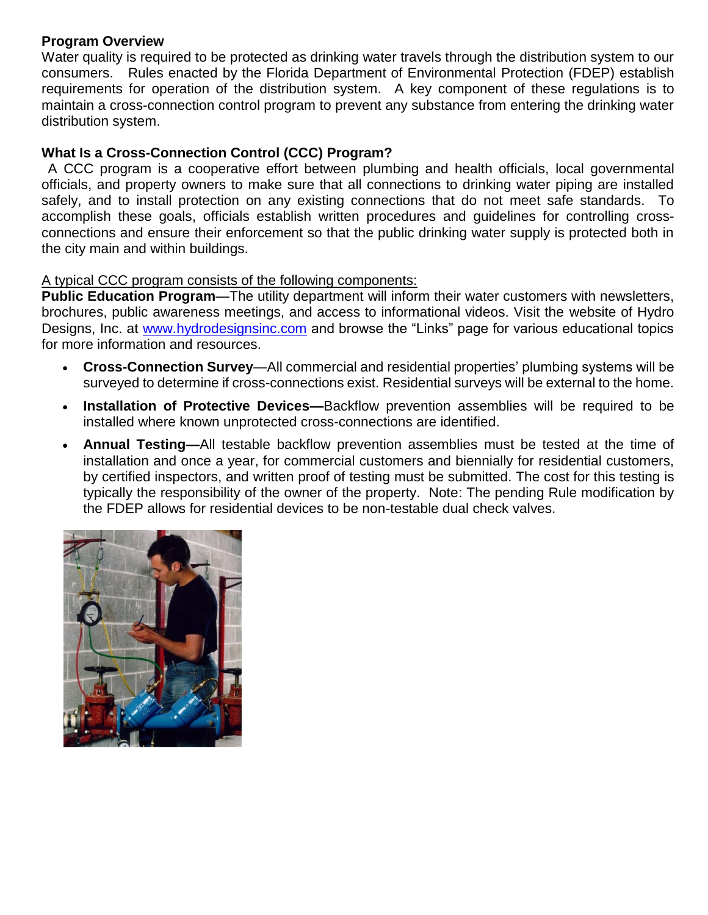## **Program Overview**

Water quality is required to be protected as drinking water travels through the distribution system to our consumers. Rules enacted by the Florida Department of Environmental Protection (FDEP) establish requirements for operation of the distribution system. A key component of these regulations is to maintain a cross-connection control program to prevent any substance from entering the drinking water distribution system.

## **What Is a Cross-Connection Control (CCC) Program?**

A CCC program is a cooperative effort between plumbing and health officials, local governmental officials, and property owners to make sure that all connections to drinking water piping are installed safely, and to install protection on any existing connections that do not meet safe standards. To accomplish these goals, officials establish written procedures and guidelines for controlling crossconnections and ensure their enforcement so that the public drinking water supply is protected both in the city main and within buildings.

## A typical CCC program consists of the following components:

**Public Education Program**—The utility department will inform their water customers with newsletters, brochures, public awareness meetings, and access to informational videos. Visit the website of Hydro Designs, Inc. at [www.hydrodesignsinc.com](http://www.hydrodesignsinc.com/) and browse the "Links" page for various educational topics for more information and resources.

- **Cross-Connection Survey**—All commercial and residential properties' plumbing systems will be surveyed to determine if cross-connections exist. Residential surveys will be external to the home.
- **Installation of Protective Devices—**Backflow prevention assemblies will be required to be installed where known unprotected cross-connections are identified.
- **Annual Testing—**All testable backflow prevention assemblies must be tested at the time of installation and once a year, for commercial customers and biennially for residential customers, by certified inspectors, and written proof of testing must be submitted. The cost for this testing is typically the responsibility of the owner of the property. Note: The pending Rule modification by the FDEP allows for residential devices to be non-testable dual check valves.

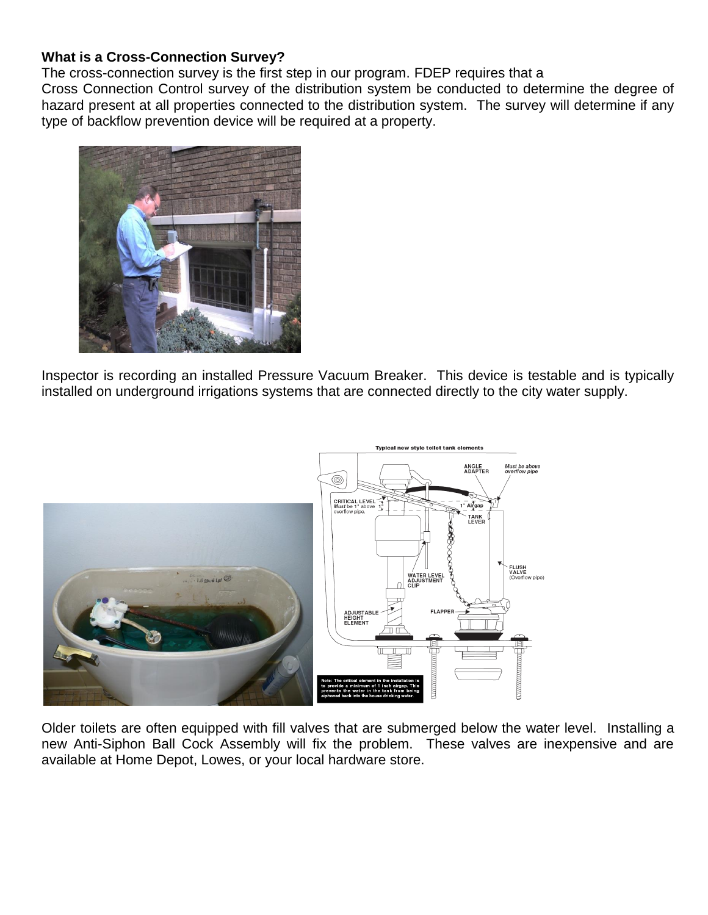## **What is a Cross-Connection Survey?**

The cross-connection survey is the first step in our program. FDEP requires that a

Cross Connection Control survey of the distribution system be conducted to determine the degree of hazard present at all properties connected to the distribution system. The survey will determine if any type of backflow prevention device will be required at a property.



Inspector is recording an installed Pressure Vacuum Breaker. This device is testable and is typically installed on underground irrigations systems that are connected directly to the city water supply.



Older toilets are often equipped with fill valves that are submerged below the water level. Installing a new Anti-Siphon Ball Cock Assembly will fix the problem. These valves are inexpensive and are available at Home Depot, Lowes, or your local hardware store.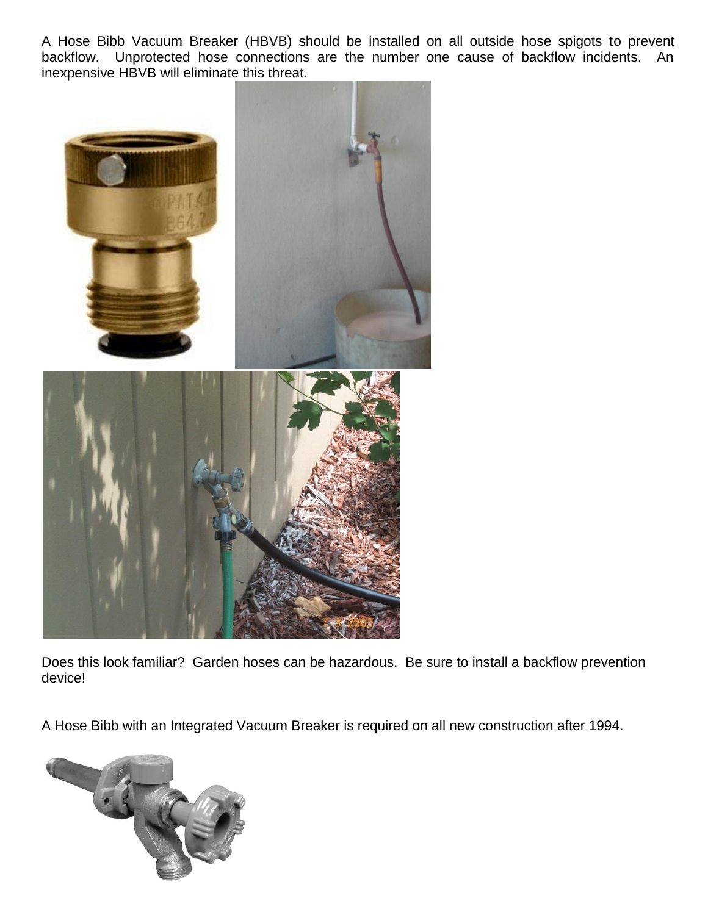A Hose Bibb Vacuum Breaker (HBVB) should be installed on all outside hose spigots to prevent backflow. Unprotected hose connections are the number one cause of backflow incidents. An inexpensive HBVB will eliminate this threat.



Does this look familiar? Garden hoses can be hazardous. Be sure to install a backflow prevention device!

A Hose Bibb with an Integrated Vacuum Breaker is required on all new construction after 1994.